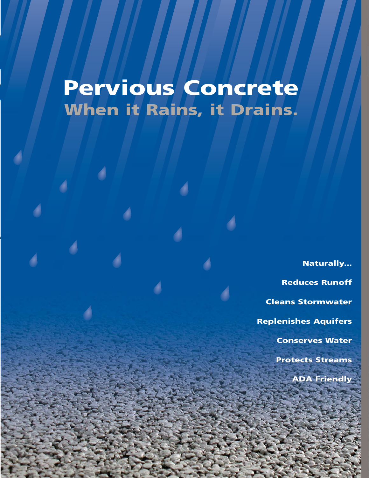# **When it Rains, it Drains. Pervious Concrete**

**Naturally... Reduces Runoff Cleans Stormwater Replenishes Aquifers Conserves Water Protects Streams ADA Friendly**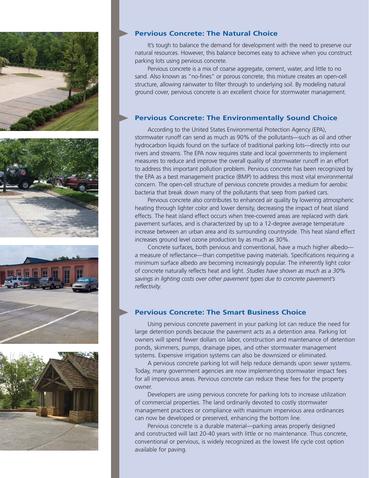







### **Pervious Concrete: The Natural Choice**

It's tough to balance the demand for development with the need to preserve our natural resources. However, this balance becomes easy to achieve when you construct parking lots using pervious concrete.

Pervious concrete is a mix of coarse aggregate, cement, water, and little to no sand. Also known as "no-fines" or porous concrete, this mixture creates an open-cell structure, allowing rainwater to filter through to underlying soil. By modeling natural ground cover, pervious concrete is an excellent choice for stormwater management.

#### **Pervious Concrete: The Environmentally Sound Choice**

According to the United States Environmental Protection Agency (EPA), stormwater runoff can send as much as 90% of the pollutants—such as oil and other hydrocarbon liquids found on the surface of traditional parking lots—directly into our rivers and streams. The EPA now requires state and local governments to implement measures to reduce and improve the overall quality of stormwater runoff in an effort to address this important pollution problem. Pervious concrete has been recognized by the EPA as a best management practice (BMP) to address this most vital environmental concern. The open-cell structure of pervious concrete provides a medium for aerobic bacteria that break down many of the pollutants that seep from parked cars.

Pervious concrete also contributes to enhanced air quality by lowering atmospheric heating through lighter color and lower density, decreasing the impact of heat island effects. The heat island effect occurs when tree-covered areas are replaced with dark pavement surfaces, and is characterized by up to a 12-degree average temperature increase between an urban area and its surrounding countryside. This heat island effect increases ground level ozone production by as much as 30%.

Concrete surfaces, both pervious and conventional, have a much higher albedo a measure of reflectance—than competitive paving materials. Specifications requiring a minimum surface albedo are becoming increasingly popular. The inherently light color of concrete naturally reflects heat and light. *Studies have shown as much as a 30% savings in lighting costs over other pavement types due to concrete pavement's reflectivity.*

### **Pervious Concrete: The Smart Business Choice**

Using pervious concrete pavement in your parking lot can reduce the need for large detention ponds because the pavement acts as a detention area. Parking lot owners will spend fewer dollars on labor, construction and maintenance of detention ponds, skimmers, pumps, drainage pipes, and other stormwater management systems. Expensive irrigation systems can also be downsized or eliminated.

A pervious concrete parking lot will help reduce demands upon sewer systems. Today, many government agencies are now implementing stormwater impact fees for all impervious areas. Pervious concrete can reduce these fees for the property owner.

Developers are using pervious concrete for parking lots to increase utilization of commercial properties. The land ordinarily devoted to costly stormwater management practices or compliance with maximum impervious area ordinances can now be developed or preserved, enhancing the bottom line.

Pervious concrete is a durable material—parking areas properly designed and constructed will last 20-40 years with little or no maintenance. Thus concrete, conventional or pervious, is widely recognized as the lowest life cycle cost option available for paving.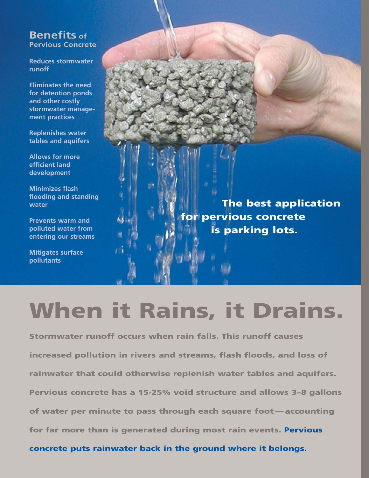# **Benefits of Pervious Concrete**

**Reduces stormwater runoff** 

**Eliminates the need for detention ponds and other costly stormwater management practices**

**Replenishes water tables and aquifers**

**Allows for more efficient land development**

**Minimizes flash flooding and standing water**

**Prevents warm and polluted water from entering our streams**

**Mitigates surface pollutants**

**The best application for pervious concrete is parking lots.**

# **When it Rains, it Drains.**

**Stormwater runoff occurs when rain falls. This runoff causes increased pollution in rivers and streams, flash floods, and loss of rainwater that could otherwise replenish water tables and aquifers. Pervious concrete has a 15-25% void structure and allows 3–8 gallons of water per minute to pass through each square foot — accounting for far more than is generated during most rain events. Pervious** 

**concrete puts rainwater back in the ground where it belongs.**